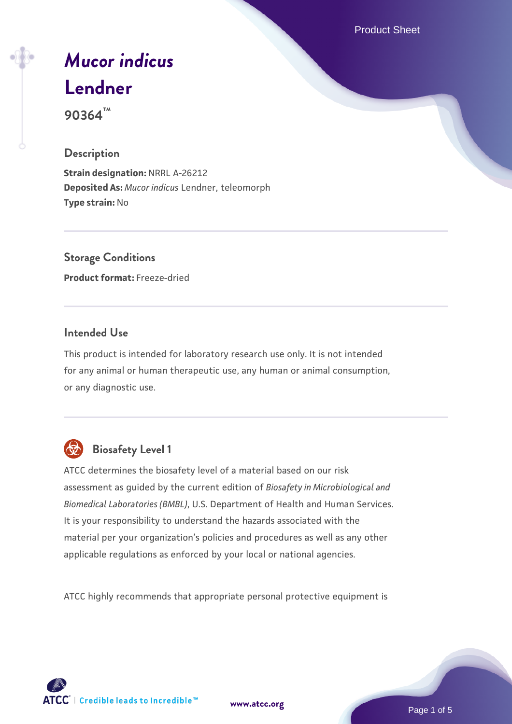Product Sheet

# *[Mucor indicus](https://www.atcc.org/products/90364)* **[Lendner](https://www.atcc.org/products/90364)**

**90364™**

# **Description**

**Strain designation:** NRRL A-26212 **Deposited As:** *Mucor indicus* Lendner, teleomorph **Type strain:** No

**Storage Conditions Product format:** Freeze-dried

# **Intended Use**

This product is intended for laboratory research use only. It is not intended for any animal or human therapeutic use, any human or animal consumption, or any diagnostic use.



# **Biosafety Level 1**

ATCC determines the biosafety level of a material based on our risk assessment as guided by the current edition of *Biosafety in Microbiological and Biomedical Laboratories (BMBL)*, U.S. Department of Health and Human Services. It is your responsibility to understand the hazards associated with the material per your organization's policies and procedures as well as any other applicable regulations as enforced by your local or national agencies.

ATCC highly recommends that appropriate personal protective equipment is

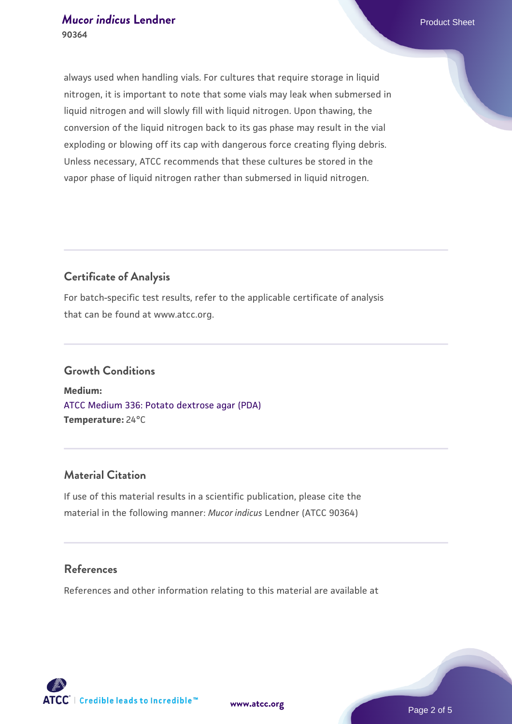always used when handling vials. For cultures that require storage in liquid nitrogen, it is important to note that some vials may leak when submersed in liquid nitrogen and will slowly fill with liquid nitrogen. Upon thawing, the conversion of the liquid nitrogen back to its gas phase may result in the vial exploding or blowing off its cap with dangerous force creating flying debris. Unless necessary, ATCC recommends that these cultures be stored in the vapor phase of liquid nitrogen rather than submersed in liquid nitrogen.

# **Certificate of Analysis**

For batch-specific test results, refer to the applicable certificate of analysis that can be found at www.atcc.org.

# **Growth Conditions**

**Medium:**  [ATCC Medium 336: Potato dextrose agar \(PDA\)](https://www.atcc.org/-/media/product-assets/documents/microbial-media-formulations/3/3/6/atcc-medium-336.pdf?rev=d9160ad44d934cd8b65175461abbf3b9) **Temperature:** 24°C

#### **Material Citation**

If use of this material results in a scientific publication, please cite the material in the following manner: *Mucor indicus* Lendner (ATCC 90364)

#### **References**

References and other information relating to this material are available at

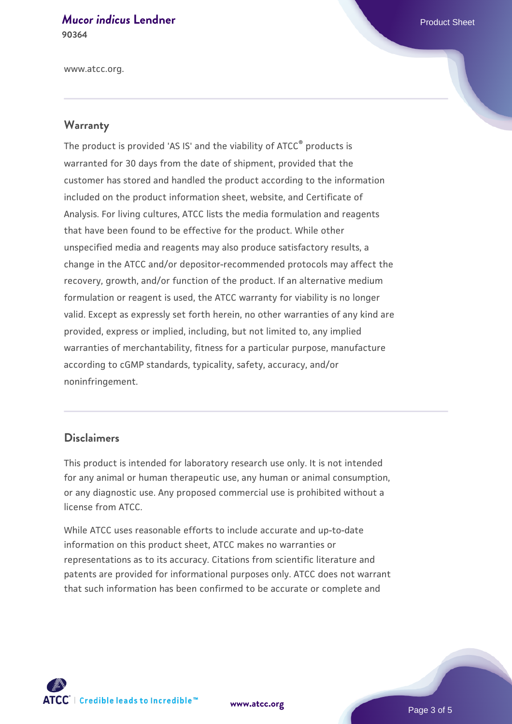#### *[Mucor indicus](https://www.atcc.org/products/90364)* [Lendner](https://www.atcc.org/products/90364) **Product Sheet** Product Sheet **90364**

www.atcc.org.

# **Warranty**

The product is provided 'AS IS' and the viability of ATCC® products is warranted for 30 days from the date of shipment, provided that the customer has stored and handled the product according to the information included on the product information sheet, website, and Certificate of Analysis. For living cultures, ATCC lists the media formulation and reagents that have been found to be effective for the product. While other unspecified media and reagents may also produce satisfactory results, a change in the ATCC and/or depositor-recommended protocols may affect the recovery, growth, and/or function of the product. If an alternative medium formulation or reagent is used, the ATCC warranty for viability is no longer valid. Except as expressly set forth herein, no other warranties of any kind are provided, express or implied, including, but not limited to, any implied warranties of merchantability, fitness for a particular purpose, manufacture according to cGMP standards, typicality, safety, accuracy, and/or noninfringement.

#### **Disclaimers**

This product is intended for laboratory research use only. It is not intended for any animal or human therapeutic use, any human or animal consumption, or any diagnostic use. Any proposed commercial use is prohibited without a license from ATCC.

While ATCC uses reasonable efforts to include accurate and up-to-date information on this product sheet, ATCC makes no warranties or representations as to its accuracy. Citations from scientific literature and patents are provided for informational purposes only. ATCC does not warrant that such information has been confirmed to be accurate or complete and



**[www.atcc.org](http://www.atcc.org)**

Page 3 of 5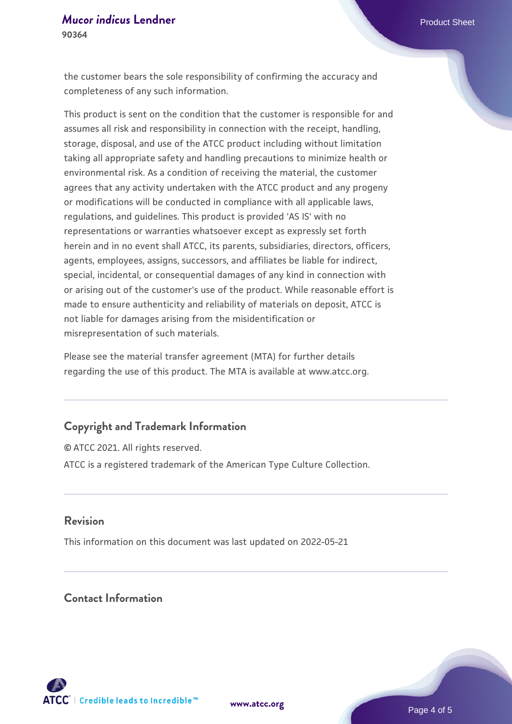the customer bears the sole responsibility of confirming the accuracy and completeness of any such information.

This product is sent on the condition that the customer is responsible for and assumes all risk and responsibility in connection with the receipt, handling, storage, disposal, and use of the ATCC product including without limitation taking all appropriate safety and handling precautions to minimize health or environmental risk. As a condition of receiving the material, the customer agrees that any activity undertaken with the ATCC product and any progeny or modifications will be conducted in compliance with all applicable laws, regulations, and guidelines. This product is provided 'AS IS' with no representations or warranties whatsoever except as expressly set forth herein and in no event shall ATCC, its parents, subsidiaries, directors, officers, agents, employees, assigns, successors, and affiliates be liable for indirect, special, incidental, or consequential damages of any kind in connection with or arising out of the customer's use of the product. While reasonable effort is made to ensure authenticity and reliability of materials on deposit, ATCC is not liable for damages arising from the misidentification or misrepresentation of such materials.

Please see the material transfer agreement (MTA) for further details regarding the use of this product. The MTA is available at www.atcc.org.

# **Copyright and Trademark Information**

© ATCC 2021. All rights reserved. ATCC is a registered trademark of the American Type Culture Collection.

#### **Revision**

This information on this document was last updated on 2022-05-21

# **Contact Information**